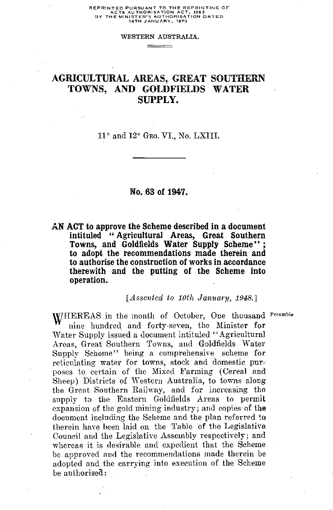### WESTERN AUSTRALIA. \_\_\_\_\_\_\_\_\_\_\_

## AGRICULTURAL AREAS, GREAT SOUTHERN TOWNS, AND GOLDFIELDS WATER SUPPLY.

 $11^\circ$  and  $12^\circ$  GEO. VI., No. LXIII.

## **No. 63 of 1947.**

**AN ACT to approve the Scheme described in a document intituled " Agricultural Areas, Great Southern Towns, and Goldfields Water Supply Scheme" ; to adopt the recommendations made therein and to authorise the construction of works in accordance therewith and the putting of the Scheme into operation.**

*[Assented to 10th January, 1948.]*

WHEREAS in the month of October, One thousand <sup>Preamble</sup><br>mine hundred and forty-seven, the Minister for nine hundred and forty-seven, the Minister for Water Supply issued a document intituled "Agricultural Areas, Great Southern Towns, and Goldfields Water Supply Scheme" being a comprehensive scheme for reticulating water for towns, stock and domestic purposes to certain of the Mixed Farming (Cereal and Sheep) Districts of Western Australia, to towns along the Great Southern Railway, and for increasing the supply to the Eastern Goldfields Areas to permit expansion of the gold mining industry; and copies of the document including the Scheme and the plan referred to therein have been laid on the Table of the Legislative Council and the Legislative Assembly respectively; and whereas it is desirable and expedient that the Scheme be approved and the recommendations made therein be adopted and the carrying into execution of the Scheme be authorised: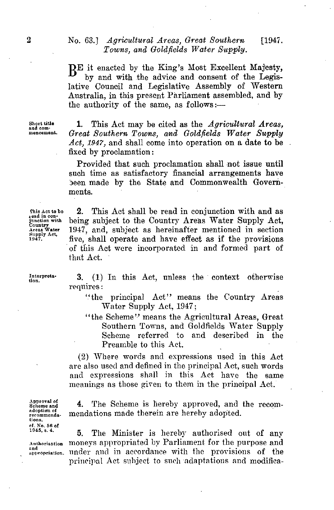# 2 No. 63.] *Agricultural Areas, Great Southern* [1947.<br> *Towns, and Goldfields Water Supply.*<br> **RE** it enacted by the King's Most Excellent Majesty, *Towns, and Goldfields Water Supply.*

B<sup>E</sup> it enacted by the King's Most Excellent Majesty,<br>hy and with the advice and consent of the Legis by and with the advice and consent of the Legislative Council and Legislative Assembly of Western Australia, in this present Parliament assembled, and by the authority of the same, as follows:—

**Short title and commencement.**

1. This Act may be cited as the *Agricultural Areas, Great Southern Towns, and Goldfields Water Supply Act, 1947,* and shall come into operation on a date to be fixed by proclamation:

Provided that such proclamation shall not issue until such time as satisfactory financial arrangements have been made by the State and Commonwealth Governments.

2. This Act shall be read in conjunction with and as being subject to the Country Areas Water Supply Act, 1947, and, subject as hereinafter mentioned in section five, shall operate and have effect as if the provisions of this Act were incorporated in and formed part of that Act.

**Interpretation.**

**Chis Act to be r ead in conjunction with Country Areas Water Supply Act, 1947.**

> 3. (1) In this Act, unless the context otherwise requires:

"the principal Act" means the Country Areas Water Supply Act, 1947;

"the Scheme" means the Agricultural Areas, Great Southern Towns, and Goldfields Water Supply Scheme referred to and described in the Preamble to this Act.

(2) Where words and expressions used in this Act are also used and defined in the principal Act, such words and expressions shall in this Act have the same meanings as those given to them in the principal Act.

**A**pp**roval of Scheme and adoption of recommendations. cf. No. 56 of**

and<br>appropriation.

4. The Scheme is hereby approved, and the recommendations made therein are hereby adopted.

**5.** The Minister is hereby authorised out of any **Authorisation** moneys appropriated by Parliament for the purpose and under and in accordance with the provisions of the principal Act subject to such adaptations and modifica-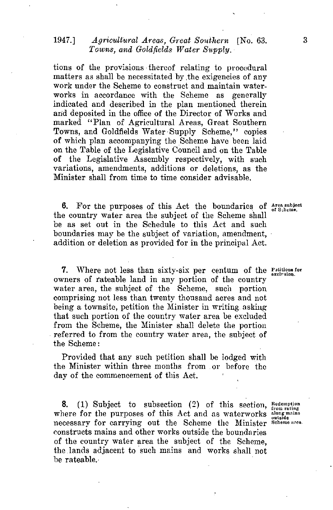## 1947.] *Agricultural Areas, Great Southern* [No. 63.<br> *Towns, and Goldfields Water Supply.*<br>
tions of the provisions thereof relating to procedural *Towns, and Goldfields Water Supply.*

tions of the provisions thereof relating to procedural matters as shall be necessitated by the exigencies of any work under the Scheme to construct and maintain waterworks in accordance with the Scheme as generally indicated and described in the plan mentioned therein and deposited in the office of the Director of Works and marked "Plan of Agricultural Areas, Great Southern Towns, and Goldfields Water Supply Scheme," copies of which plan accompanying the Scheme have been laid on the Table of the Legislative Council and on the Table of the Legislative Assembly respectively, with such variations, amendments, additions or deletions, as the Minister shall from time to time consider advisable.

6. For the purposes of this Act the boundaries of Area subject **the country water area** the subject of the Scheme shall be as set out in the Schedule to this Act and such boundaries may be the subject of variation, amendment, addition or deletion as provided for in the principal Act.

7. Where not less than sixty-six per centum of the **Patitions** for owners of rateable land in any portion of the country water area, the subject of the Scheme, such portion comprising not less than twenty thousand acres and not being a townsite, petition the Minister in writing asking. that such portion of the country water area be excluded from the Scheme, the Minister shall delete the portion referred to from the country water area, the subject of the Scheme:

Provided that any such petition shall be lodged with the Minister within three months from or before the day of the commencement of this Act.

8. (1) Subject to subsection (2) of this section, Redemption where for the purposes of this Act and as waterworks **about mains** necessary for carrying out the Scheme the Minister Scheme area. constructs mains and other works outside the boundaries of the country water area the subject of the Scheme, the lands adjacent to such mains and works shall not be rateable.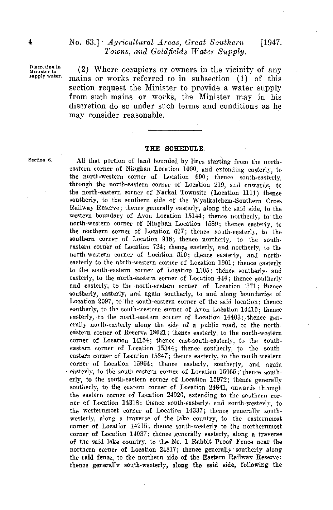**Discretion in Minister to supply water.**

(2) Where occupiers or owners in the vicinity of any mains or works referred to in subsection (1) of this section request the Minister to provide a water supply from such mains or works, the Minister may in his discretion do so under such terms and conditions as he may consider reasonable.

## THE SCHEDULE.

**Section 6.** All that portion of land bounded by lines starting from the northeastern corner of Ninghan Location 1060, and extending easterly, to the north-western corner of Location 090; thence south-easterly, through the north-eastern corner of Location 219, and onwards, to the north-eastern corner of Narkal Townsite (Location 1111) thence southerly, to the southern side of the Wyalkatchem-Southern Cross Railway Reserve; thence generally easterly, along the said side, to the western boundary of Avon Location 15144; thence northerly, to the north-western corner of Ninghan Location 1580; thence easterly, to the northern corner of Location 627; thence south-easterly, to the southern corner of Location 918; thence northerly, to the southeastern corner of Location 724; thence easterly, and northerly, to the north-western corner of Location. 310; thence easterly, and northeasterly to the north-western corner of Location 1901; thence easterly to the south-eastern corner of Location 1105; thence southerly, and easterly, to the north-eastern corner of Location 444; thence southerly and easterly, to the north-eastern corner of Location '371; thence southerly, easterly, and again southerly, to and along boundaries of Location 2097, to the. south-eastern corner of the said location; thence southerly, to the south-western corner of Avon Location 14410; thence easterly, to the north-eastern corner of Location 14403: thence generally north-easterly along the side of a public road, to the northeastern corner of Reserve 18021; thence easterly, to the north-western corner of Location 14154; thence east-south-easterly, to the southeastern corner of Location 15344; thence southerly, to the southeastern corner of Location 15347; thence easterly, to the north-western corner of Location 15964; thence easterly, southerly, and again easterly, to the south-eastern corner of Location 15965; thence southerly, to the south-eastern corner of Location 15972; thence generally southerly, to the eastern corner of Location 24841, onwards through the eastern corner of Location 24920, extending to the southern corner of Location 14318: thence south-easterly, and south-westerly, to the westernmost corner of Location 14337; thence generally southwesterly, along a traverse of the lake country, to the easternmost corner of Location 14215; thence south-westerly to the northernmost corner of Location 14037; thence generally easterly, along a traverse of the said lake country, to the No. 1 Rabbit Proof Fence near the northern corner of Location 24817; thence generally southerly along the said fence, to the northern side of the Eastern Railway Reserve; thence generally south-westerly, along the said side, following the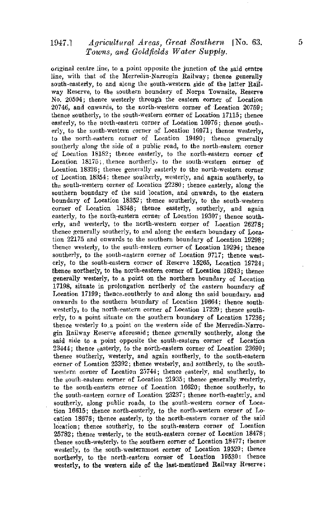## 1947.1 *Agricultural Areas, Great Southern* [No. 63. 5 *Towns, and Goldfields Water Supply.*

original centre line, to a point opposite the junction of the said centre line, with that of the Merredin-Narrogin Railway; thence generally south-easterly, to and along the south-western side of the latter Railway Reserve, to the southern boundary of Norpa Townsite, Reserve No. 20504; thence westerly through the eastern corner of Location 20746, and onwards, to the north-western corner of Location 20759; thence southerly, to the south-western corner of Location 17115; thence easterly, to the north-eastern corner of Location 16976; thence southerly, to the south-western corner of Location 16971; thence westerly, to the north-eastern corner of Location 19490; thence generally southerly along the side of a public road, to the north-eastern corner of Location 18182; thence easterly, to the north-eastern corner of Location 18175; thence northerly, to the south-western corner of Location 18326; thence generally easterly to the north-western corner of Location. 18354; thence southerly, westerly, and again southerly, to the south-western corner of Location 22280; thence easterly, along the southern boundary of the said location, and onwards, to the eastern boundary of Location 18352; thence southerly, to the south-western corner of Location 18348; thence easterly, southerly, and again easterly, to the north-eastern corner of Location 19307; thence southerly, and westerly, to the north-western corner of Location 26278; thence generally southerly, to and along the eastern boundary of Location 22175 and onwards to the southern boundary of Location 19298; thence westerly, to the south-eastern corner of Location 19294; thence southerly, to the south-eastern corner of Location 9717; thence westerly, to the south-eastern corner of Reserve 15265, Location 19724; thence northerly, to the north-eastern corner of Location 16243; thence generally westerly, to a point on the northern boundary of Location 17198, situate in prolongation northerly of the eastern boundary of Location 17199; thence-southerly to and along the said boundary, and onwards to the southern boundary of Location 19664; thence southwesterly, to the north-eastern corner of Location 17229; thence southerly, to a point situate on the southern boundary of Location 17236; thence westerly to a point on the western side of the Merredin-Narrogin Railway Reserve aforesaid; thence generally southerly, along the said side to a point opposite the south-eastern corner of Location 23444; thence easterly, to the north-eastern corner of Location 23690; thence southerly, westerly, and again southerly, to the south-eastern corner of Location 23392; thence westerly, and southerly, to the southwestern corner of Location 25744; thence easterly, and southerly, to the south-eastern corner of Location 21935; thence generally westerly, to the south-eastern corner of Location 16620; thence southerly, to the south-eastern corner of Location 23237; thence north-easterly, and southerly, along public roads, to the south-western corner of Location 16615; thence north-easterly, to the north-western corner of Location 18676; thence easterly, to the north-eastern corner of the said location; thence southerly, to the south-eastern corner of Location 25782; thence westerly, to the south-eastern corner of Location 18478; thence south-westerly, to the southern corner of Location 18477; thence westerly, to the south-westernmost corner of Location 19529; thence northerly, to the north-eastern corner of Location 19530: thence westerly, to the western side of the last-mentioned Railway Reserve;